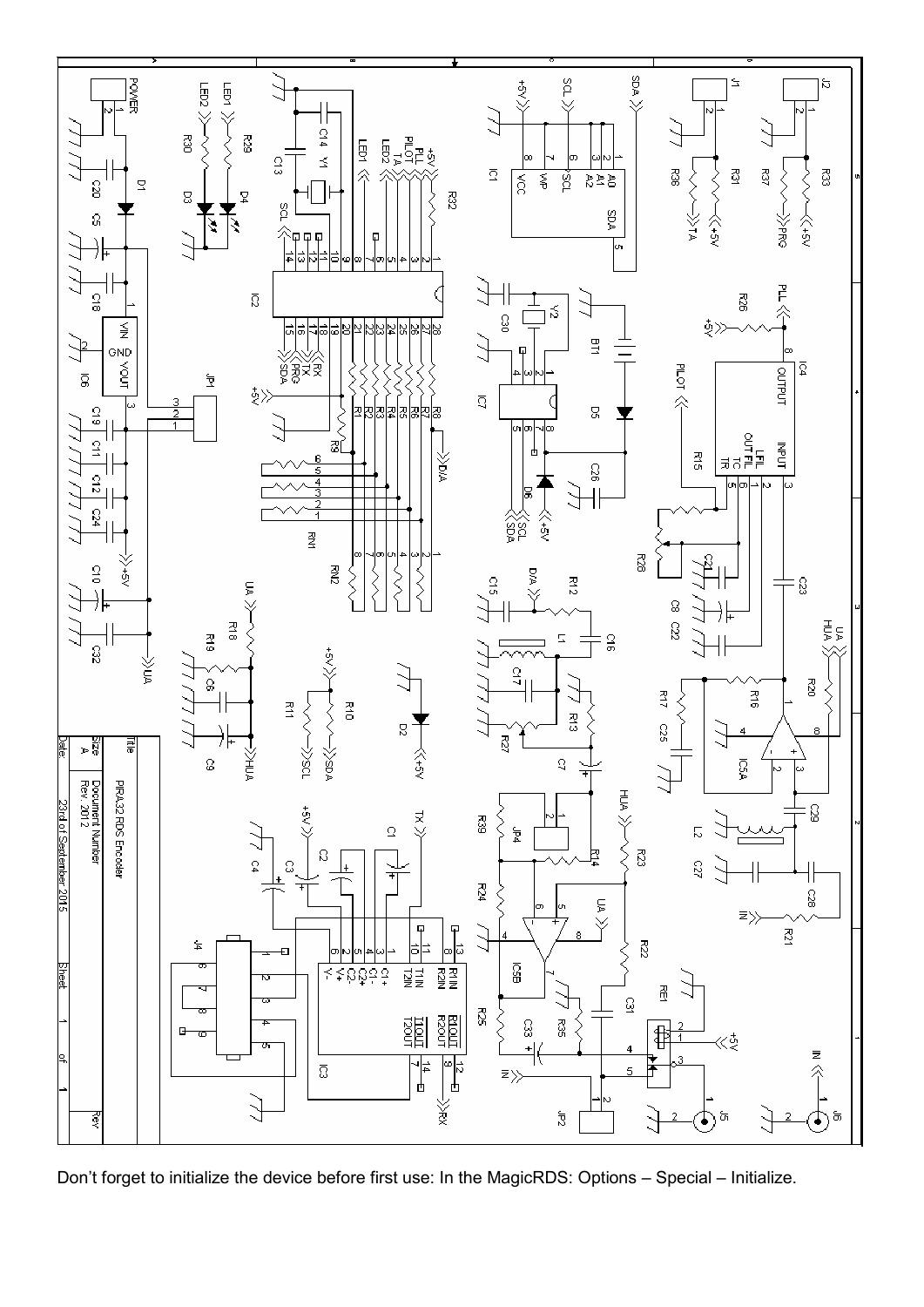

Don't forget to initialize the device before first use: In the MagicRDS: Options – Special – Initialize.